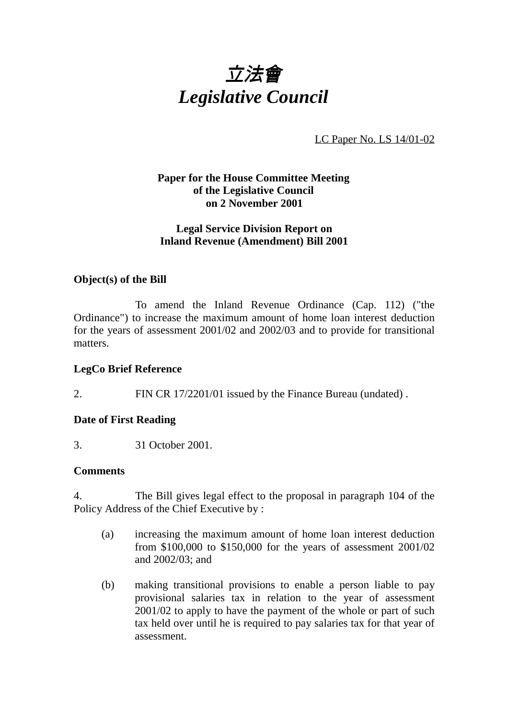

LC Paper No. LS 14/01-02

### **Paper for the House Committee Meeting of the Legislative Council on 2 November 2001**

#### **Legal Service Division Report on Inland Revenue (Amendment) Bill 2001**

#### **Object(s) of the Bill**

To amend the Inland Revenue Ordinance (Cap. 112) ("the Ordinance") to increase the maximum amount of home loan interest deduction for the years of assessment 2001/02 and 2002/03 and to provide for transitional matters.

## **LegCo Brief Reference**

2. FIN CR 17/2201/01 issued by the Finance Bureau (undated) .

#### **Date of First Reading**

3. 31 October 2001.

#### **Comments**

4. The Bill gives legal effect to the proposal in paragraph 104 of the Policy Address of the Chief Executive by :

- (a) increasing the maximum amount of home loan interest deduction from \$100,000 to \$150,000 for the years of assessment 2001/02 and 2002/03; and
- (b) making transitional provisions to enable a person liable to pay provisional salaries tax in relation to the year of assessment 2001/02 to apply to have the payment of the whole or part of such tax held over until he is required to pay salaries tax for that year of assessment.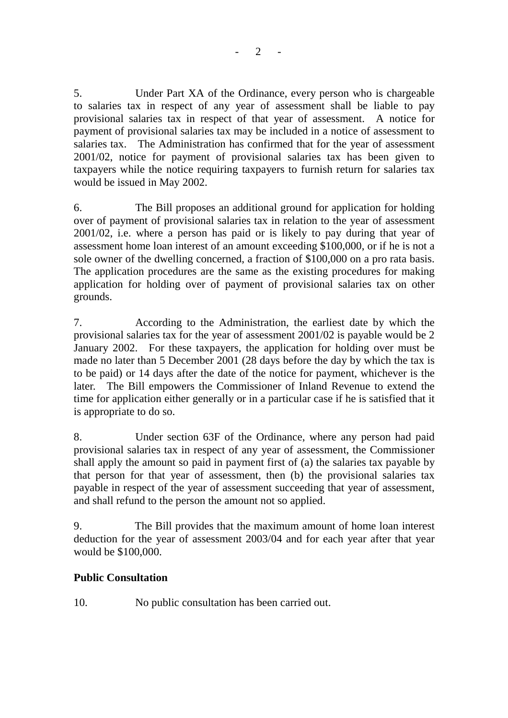$2 -$ 

5. Under Part XA of the Ordinance, every person who is chargeable to salaries tax in respect of any year of assessment shall be liable to pay provisional salaries tax in respect of that year of assessment. A notice for payment of provisional salaries tax may be included in a notice of assessment to salaries tax. The Administration has confirmed that for the year of assessment 2001/02, notice for payment of provisional salaries tax has been given to taxpayers while the notice requiring taxpayers to furnish return for salaries tax would be issued in May 2002.

6. The Bill proposes an additional ground for application for holding over of payment of provisional salaries tax in relation to the year of assessment 2001/02, i.e. where a person has paid or is likely to pay during that year of assessment home loan interest of an amount exceeding \$100,000, or if he is not a sole owner of the dwelling concerned, a fraction of \$100,000 on a pro rata basis. The application procedures are the same as the existing procedures for making application for holding over of payment of provisional salaries tax on other grounds.

7. According to the Administration, the earliest date by which the provisional salaries tax for the year of assessment 2001/02 is payable would be 2 January 2002. For these taxpayers, the application for holding over must be made no later than 5 December 2001 (28 days before the day by which the tax is to be paid) or 14 days after the date of the notice for payment, whichever is the later. The Bill empowers the Commissioner of Inland Revenue to extend the time for application either generally or in a particular case if he is satisfied that it is appropriate to do so.

8. Under section 63F of the Ordinance, where any person had paid provisional salaries tax in respect of any year of assessment, the Commissioner shall apply the amount so paid in payment first of (a) the salaries tax payable by that person for that year of assessment, then (b) the provisional salaries tax payable in respect of the year of assessment succeeding that year of assessment, and shall refund to the person the amount not so applied.

9. The Bill provides that the maximum amount of home loan interest deduction for the year of assessment 2003/04 and for each year after that year would be \$100,000.

## **Public Consultation**

10. No public consultation has been carried out.